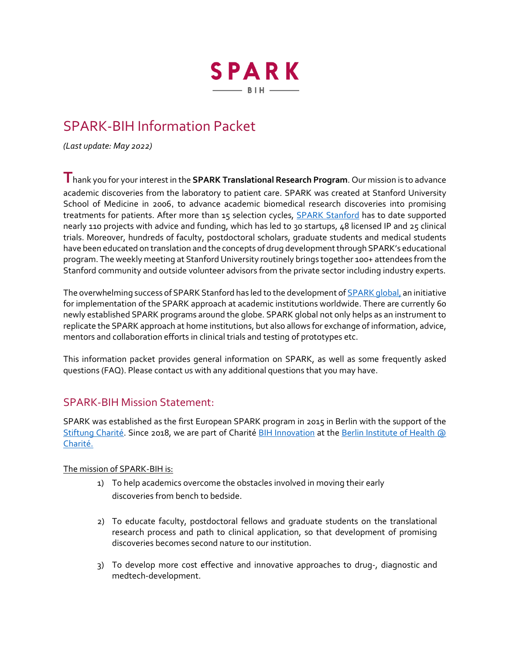

# SPARK-BIH Information Packet

*(Last update: May 2022)* 

**T**hank you for your interest in the **SPARK Translational Research Program**. Our mission is to advance academic discoveries from the laboratory to patient care. SPARK was created at Stanford University School of Medicine in 2006, to advance academic biomedical research discoveries into promising treatments for patients. After more than 15 selection cycles, **SPARK Stanford** has to date supported nearly 110 projects with advice and funding, which has led to 30 startups, 48 licensed IP and 25 clinical trials. Moreover, hundreds of faculty, postdoctoral scholars, graduate students and medical students have been educated on translation and the concepts of drug development through SPARK's educational program. The weekly meeting at Stanford University routinely brings together 100+ attendees from the Stanford community and outside volunteer advisors from the private sector including industry experts.

The overwhelming success of SPARK Stanford has led to the development o[f SPARK global,](https://sparkglobal.io/) an initiative for implementation of the SPARK approach at academic institutions worldwide. There are currently 60 newly established SPARK programs around the globe. SPARK global not only helps as an instrument to replicate the SPARK approach at home institutions, but also allows for exchange of information, advice, mentors and collaboration efforts in clinical trials and testing of prototypes etc.

This information packet provides general information on SPARK, as well as some frequently asked questions (FAQ). Please contact us with any additional questions that you may have.

# SPARK-BIH Mission Statement:

SPARK was established as the first European SPARK program in 2015 in Berlin with the support of the [Stiftung Charité.](https://www.stiftung-charite.de/) Since 2018, we are part of Charité [BIH Innovation](https://www.bihealth.org/de/translation/innovationstreiber/innovation) at the Berlin [Institute of Health](https://www.bihealth.org/) @ [Charité.](https://www.bihealth.org/) 

#### The mission of SPARK-BIH is:

- 1) To help academics overcome the obstacles involved in moving their early discoveries from bench to bedside.
- 2) To educate faculty, postdoctoral fellows and graduate students on the translational research process and path to clinical application, so that development of promising discoveries becomes second nature to our institution.
- 3) To develop more cost effective and innovative approaches to drug-, diagnostic and medtech-development.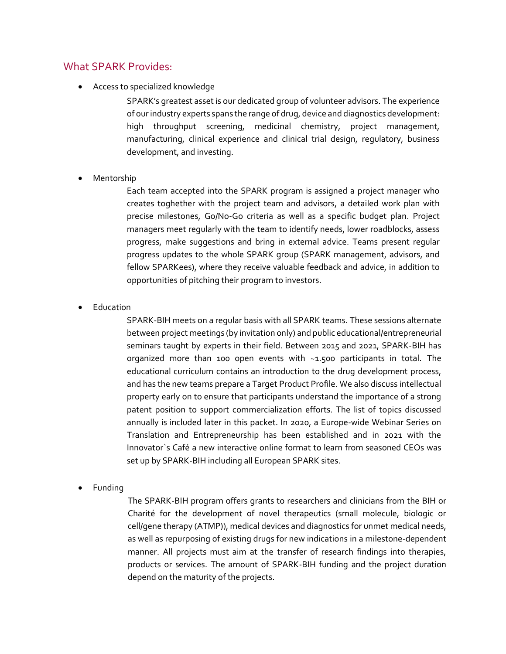## What SPARK Provides:

Access to specialized knowledge

SPARK's greatest asset is our dedicated group of volunteer advisors. The experience of our industry experts spans the range of drug, device and diagnostics development: high throughput screening, medicinal chemistry, project management, manufacturing, clinical experience and clinical trial design, regulatory, business development, and investing.

Mentorship

Each team accepted into the SPARK program is assigned a project manager who creates toghether with the project team and advisors, a detailed work plan with precise milestones, Go/No-Go criteria as well as a specific budget plan. Project managers meet regularly with the team to identify needs, lower roadblocks, assess progress, make suggestions and bring in external advice. Teams present regular progress updates to the whole SPARK group (SPARK management, advisors, and fellow SPARKees), where they receive valuable feedback and advice, in addition to opportunities of pitching their program to investors.

Education

SPARK-BIH meets on a regular basis with all SPARK teams. These sessions alternate between project meetings (by invitation only) and public educational/entrepreneurial seminars taught by experts in their field. Between 2015 and 2021, SPARK-BIH has organized more than 100 open events with ~1.500 participants in total. The educational curriculum contains an introduction to the drug development process, and has the new teams prepare a Target Product Profile. We also discuss intellectual property early on to ensure that participants understand the importance of a strong patent position to support commercialization efforts. The list of topics discussed annually is included later in this packet. In 2020, a Europe-wide Webinar Series on Translation and Entrepreneurship has been established and in 2021 with the Innovator`s Café a new interactive online format to learn from seasoned CEOs was set up by SPARK-BIH including all European SPARK sites.

Funding

The SPARK-BIH program offers grants to researchers and clinicians from the BIH or Charité for the development of novel therapeutics (small molecule, biologic or cell/gene therapy (ATMP)), medical devices and diagnostics for unmet medical needs, as well as repurposing of existing drugs for new indications in a milestone-dependent manner. All projects must aim at the transfer of research findings into therapies, products or services. The amount of SPARK-BIH funding and the project duration depend on the maturity of the projects.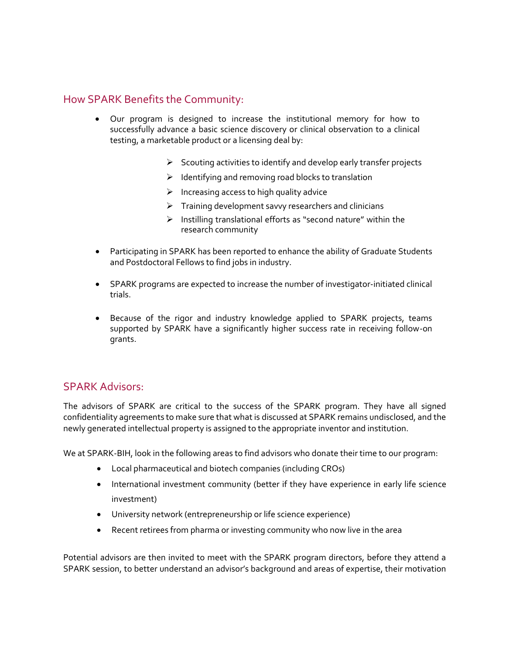# How SPARK Benefits the Community:

- Our program is designed to increase the institutional memory for how to successfully advance a basic science discovery or clinical observation to a clinical testing, a marketable product or a licensing deal by:
	- $\triangleright$  Scouting activities to identify and develop early transfer projects
	- $\triangleright$  Identifying and removing road blocks to translation
	- $\triangleright$  Increasing access to high quality advice
	- $\triangleright$  Training development savvy researchers and clinicians
	- $\triangleright$  Instilling translational efforts as "second nature" within the research community
- Participating in SPARK has been reported to enhance the ability of Graduate Students and Postdoctoral Fellows to find jobs in industry.
- SPARK programs are expected to increase the number of investigator-initiated clinical trials.
- Because of the rigor and industry knowledge applied to SPARK projects, teams supported by SPARK have a significantly higher success rate in receiving follow-on grants.

## SPARK Advisors:

The advisors of SPARK are critical to the success of the SPARK program. They have all signed confidentiality agreements to make sure that what is discussed at SPARK remains undisclosed, and the newly generated intellectual property is assigned to the appropriate inventor and institution.

We at SPARK-BIH, look in the following areas to find advisors who donate their time to our program:

- Local pharmaceutical and biotech companies (including CROs)
- International investment community (better if they have experience in early life science investment)
- University network (entrepreneurship or life science experience)
- Recent retirees from pharma or investing community who now live in the area

Potential advisors are then invited to meet with the SPARK program directors, before they attend a SPARK session, to better understand an advisor's background and areas of expertise, their motivation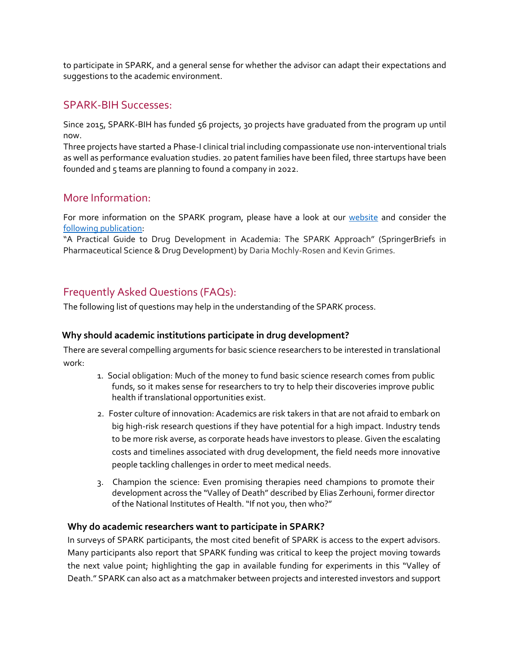to participate in SPARK, and a general sense for whether the advisor can adapt their expectations and suggestions to the academic environment.

# SPARK-BIH Successes:

Since 2015, SPARK-BIH has funded 56 projects, 30 projects have graduated from the program up until now.

Three projects have started a Phase-I clinical trial including compassionate use non-interventional trials as well as performance evaluation studies. 20 patent families have been filed, three startups have been founded and 5 teams are planning to found a company in 2022.

# More Information:

For more information on the SPARK program, please have a look at our [website](https://spark-bih.de/) and consider the [following publication:](https://www.springer.com/gp/book/9783319022000)

"A Practical Guide to Drug Development in Academia: The SPARK Approach" (SpringerBriefs in Pharmaceutical Science & Drug Development) by Daria Mochly-Rosen and Kevin Grimes.

# Frequently Asked Questions (FAQs):

The following list of questions may help in the understanding of the SPARK process.

#### **Why should academic institutions participate in drug development?**

There are several compelling arguments for basic science researchers to be interested in translational work:

- 1. Social obligation: Much of the money to fund basic science research comes from public funds, so it makes sense for researchers to try to help their discoveries improve public health if translational opportunities exist.
- 2. Foster culture of innovation: Academics are risk takers in that are not afraid to embark on big high-risk research questions if they have potential for a high impact. Industry tends to be more risk averse, as corporate heads have investors to please. Given the escalating costs and timelines associated with drug development, the field needs more innovative people tackling challenges in order to meet medical needs.
- 3. Champion the science: Even promising therapies need champions to promote their development across the "Valley of Death" described by Elias Zerhouni, former director of the National Institutes of Health. "If not you, then who?"

#### **Why do academic researchers want to participate in SPARK?**

In surveys of SPARK participants, the most cited benefit of SPARK is access to the expert advisors. Many participants also report that SPARK funding was critical to keep the project moving towards the next value point; highlighting the gap in available funding for experiments in this "Valley of Death." SPARK can also act as a matchmaker between projects and interested investors and support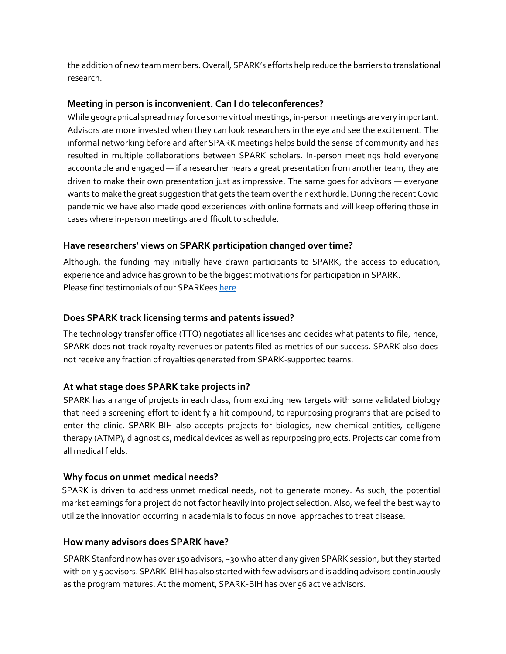the addition of new team members. Overall, SPARK's efforts help reduce the barriers to translational research.

#### **Meeting in person is inconvenient. Can I do teleconferences?**

While geographical spread may force some virtual meetings, in-person meetings are very important. Advisors are more invested when they can look researchers in the eye and see the excitement. The informal networking before and after SPARK meetings helps build the sense of community and has resulted in multiple collaborations between SPARK scholars. In-person meetings hold everyone accountable and engaged — if a researcher hears a great presentation from another team, they are driven to make their own presentation just as impressive. The same goes for advisors — everyone wants to make the great suggestion that gets the team over the next hurdle. During the recent Covid pandemic we have also made good experiences with online formats and will keep offering those in cases where in-person meetings are difficult to schedule.

#### **Have researchers' views on SPARK participation changed over time?**

Although, the funding may initially have drawn participants to SPARK, the access to education, experience and advice has grown to be the biggest motivations for participation in SPARK. Please find testimonials of our SPARKee[s here.](https://spark-bih.de/program/testimonials/)

## **Does SPARK track licensing terms and patents issued?**

The technology transfer office (TTO) negotiates all licenses and decides what patents to file, hence, SPARK does not track royalty revenues or patents filed as metrics of our success. SPARK also does not receive any fraction of royalties generated from SPARK-supported teams.

## **At what stage does SPARK take projects in?**

SPARK has a range of projects in each class, from exciting new targets with some validated biology that need a screening effort to identify a hit compound, to repurposing programs that are poised to enter the clinic. SPARK-BIH also accepts projects for biologics, new chemical entities, cell/gene therapy (ATMP), diagnostics, medical devices as well as repurposing projects. Projects can come from all medical fields.

#### **Why focus on unmet medical needs?**

SPARK is driven to address unmet medical needs, not to generate money. As such, the potential market earnings for a project do not factor heavily into project selection. Also, we feel the best way to utilize the innovation occurring in academia is to focus on novel approaches to treat disease.

## **How many advisors does SPARK have?**

SPARK Stanford now has over 150 advisors, ~30 who attend any given SPARK session, but they started with only 5 advisors. SPARK-BIH has also started with few advisors and is adding advisors continuously as the program matures. At the moment, SPARK-BIH has over 56 active advisors.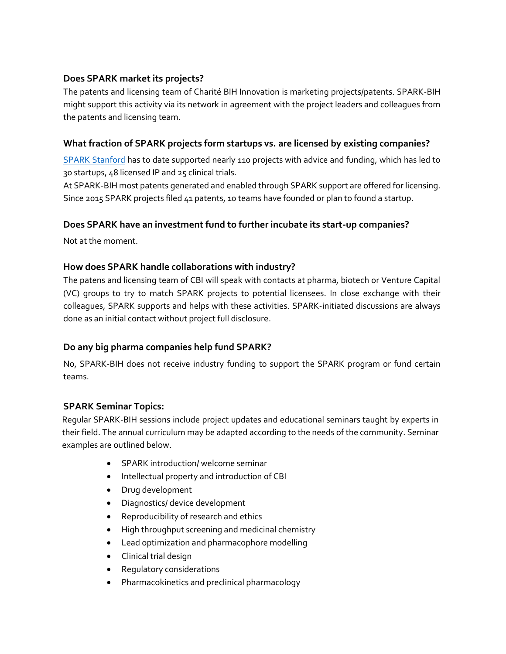#### **Does SPARK market its projects?**

The patents and licensing team of Charité BIH Innovation is marketing projects/patents. SPARK-BIH might support this activity via its network in agreement with the project leaders and colleagues from the patents and licensing team.

#### **What fraction of SPARK projects form startups vs. are licensed by existing companies?**

[SPARK Stanford](http://sparkmed.stanford.edu/) has to date supported nearly 110 projects with advice and funding, which has led to 30 startups, 48 licensed IP and 25 clinical trials.

At SPARK-BIH most patents generated and enabled through SPARK support are offered for licensing. Since 2015 SPARK projects filed 41 patents, 10 teams have founded or plan to found a startup.

#### **Does SPARK have an investment fund to further incubate its start-up companies?**

Not at the moment.

#### **How does SPARK handle collaborations with industry?**

The patens and licensing team of CBI will speak with contacts at pharma, biotech or Venture Capital (VC) groups to try to match SPARK projects to potential licensees. In close exchange with their colleagues, SPARK supports and helps with these activities. SPARK-initiated discussions are always done as an initial contact without project full disclosure.

## **Do any big pharma companies help fund SPARK?**

No, SPARK-BIH does not receive industry funding to support the SPARK program or fund certain teams.

#### **SPARK Seminar Topics:**

Regular SPARK-BIH sessions include project updates and educational seminars taught by experts in their field. The annual curriculum may be adapted according to the needs of the community. Seminar examples are outlined below.

- SPARK introduction/ welcome seminar
- Intellectual property and introduction of CBI
- Drug development
- Diagnostics/ device development
- Reproducibility of research and ethics
- High throughput screening and medicinal chemistry
- Lead optimization and pharmacophore modelling
- Clinical trial design
- Regulatory considerations
- Pharmacokinetics and preclinical pharmacology